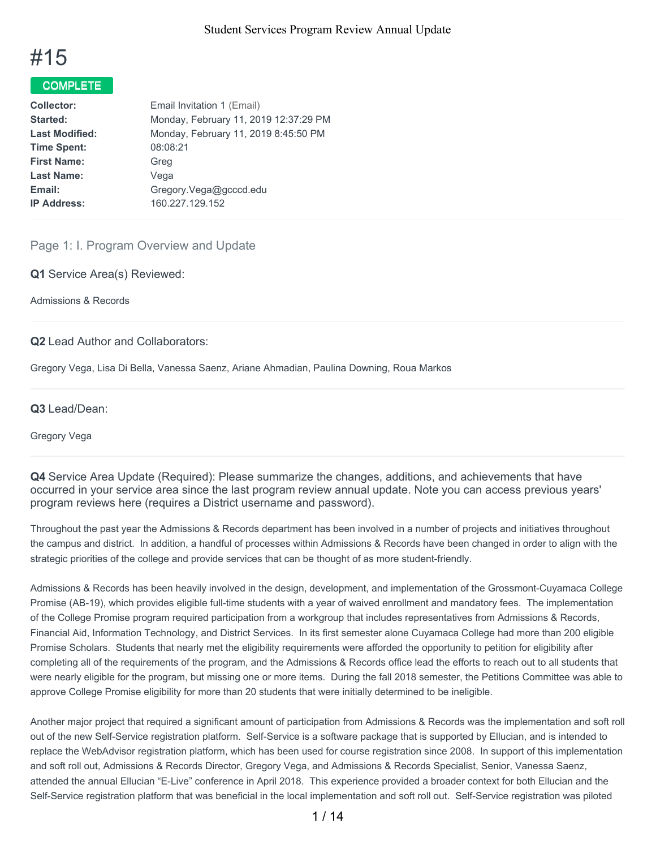

### COMPLETE<sup>T</sup>

| <b>Collector:</b>     | Email Invitation 1 (Email)            |
|-----------------------|---------------------------------------|
| Started:              | Monday, February 11, 2019 12:37:29 PM |
| <b>Last Modified:</b> | Monday, February 11, 2019 8:45:50 PM  |
| <b>Time Spent:</b>    | 08:08:21                              |
| <b>First Name:</b>    | Greg                                  |
| <b>Last Name:</b>     | Vega                                  |
| Email:                | Gregory.Vega@gcccd.edu                |
| <b>IP Address:</b>    | 160.227.129.152                       |
|                       |                                       |

#### Page 1: I. Program Overview and Update

**Q1** Service Area(s) Reviewed:

Admissions & Records

#### **Q2** Lead Author and Collaborators:

Gregory Vega, Lisa Di Bella, Vanessa Saenz, Ariane Ahmadian, Paulina Downing, Roua Markos

#### **Q3** Lead/Dean:

Gregory Vega

**Q4** Service Area Update (Required): Please summarize the changes, additions, and achievements that have occurred in your service area since the last program review annual update. Note you can access previous years' program reviews here (requires a District username and password).

Throughout the past year the Admissions & Records department has been involved in a number of projects and initiatives throughout the campus and district. In addition, a handful of processes within Admissions & Records have been changed in order to align with the strategic priorities of the college and provide services that can be thought of as more student-friendly.

Admissions & Records has been heavily involved in the design, development, and implementation of the Grossmont-Cuyamaca College Promise (AB-19), which provides eligible full-time students with a year of waived enrollment and mandatory fees. The implementation of the College Promise program required participation from a workgroup that includes representatives from Admissions & Records, Financial Aid, Information Technology, and District Services. In its first semester alone Cuyamaca College had more than 200 eligible Promise Scholars. Students that nearly met the eligibility requirements were afforded the opportunity to petition for eligibility after completing all of the requirements of the program, and the Admissions & Records office lead the efforts to reach out to all students that were nearly eligible for the program, but missing one or more items. During the fall 2018 semester, the Petitions Committee was able to approve College Promise eligibility for more than 20 students that were initially determined to be ineligible.

Another major project that required a significant amount of participation from Admissions & Records was the implementation and soft roll out of the new Self-Service registration platform. Self-Service is a software package that is supported by Ellucian, and is intended to replace the WebAdvisor registration platform, which has been used for course registration since 2008. In support of this implementation and soft roll out, Admissions & Records Director, Gregory Vega, and Admissions & Records Specialist, Senior, Vanessa Saenz, attended the annual Ellucian "E-Live" conference in April 2018. This experience provided a broader context for both Ellucian and the Self-Service registration platform that was beneficial in the local implementation and soft roll out. Self-Service registration was piloted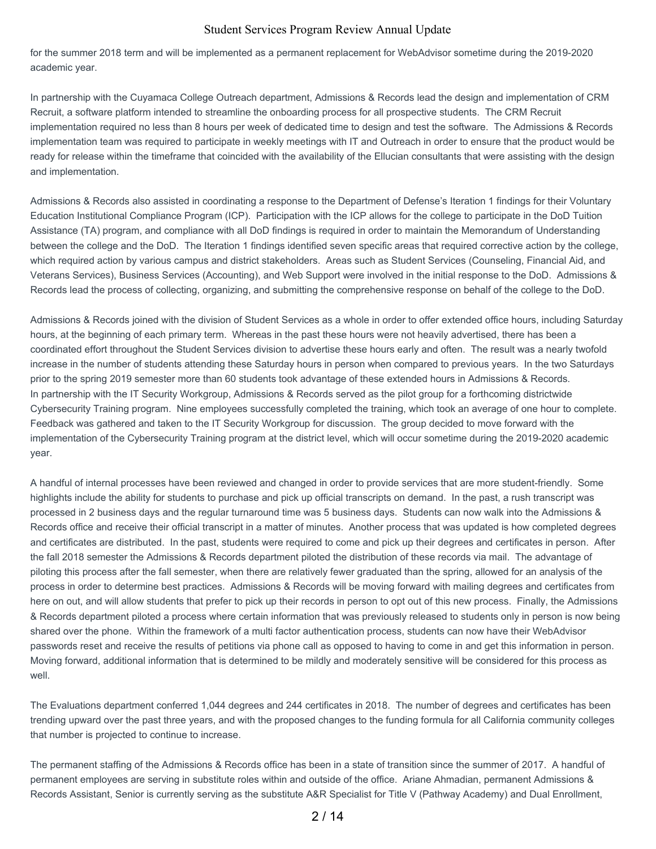for the summer 2018 term and will be implemented as a permanent replacement for WebAdvisor sometime during the 2019-2020 academic year.

In partnership with the Cuyamaca College Outreach department, Admissions & Records lead the design and implementation of CRM Recruit, a software platform intended to streamline the onboarding process for all prospective students. The CRM Recruit implementation required no less than 8 hours per week of dedicated time to design and test the software. The Admissions & Records implementation team was required to participate in weekly meetings with IT and Outreach in order to ensure that the product would be ready for release within the timeframe that coincided with the availability of the Ellucian consultants that were assisting with the design and implementation.

Admissions & Records also assisted in coordinating a response to the Department of Defense's Iteration 1 findings for their Voluntary Education Institutional Compliance Program (ICP). Participation with the ICP allows for the college to participate in the DoD Tuition Assistance (TA) program, and compliance with all DoD findings is required in order to maintain the Memorandum of Understanding between the college and the DoD. The Iteration 1 findings identified seven specific areas that required corrective action by the college, which required action by various campus and district stakeholders. Areas such as Student Services (Counseling, Financial Aid, and Veterans Services), Business Services (Accounting), and Web Support were involved in the initial response to the DoD. Admissions & Records lead the process of collecting, organizing, and submitting the comprehensive response on behalf of the college to the DoD.

Admissions & Records joined with the division of Student Services as a whole in order to offer extended office hours, including Saturday hours, at the beginning of each primary term. Whereas in the past these hours were not heavily advertised, there has been a coordinated effort throughout the Student Services division to advertise these hours early and often. The result was a nearly twofold increase in the number of students attending these Saturday hours in person when compared to previous years. In the two Saturdays prior to the spring 2019 semester more than 60 students took advantage of these extended hours in Admissions & Records. In partnership with the IT Security Workgroup, Admissions & Records served as the pilot group for a forthcoming districtwide Cybersecurity Training program. Nine employees successfully completed the training, which took an average of one hour to complete. Feedback was gathered and taken to the IT Security Workgroup for discussion. The group decided to move forward with the implementation of the Cybersecurity Training program at the district level, which will occur sometime during the 2019-2020 academic year.

A handful of internal processes have been reviewed and changed in order to provide services that are more student-friendly. Some highlights include the ability for students to purchase and pick up official transcripts on demand. In the past, a rush transcript was processed in 2 business days and the regular turnaround time was 5 business days. Students can now walk into the Admissions & Records office and receive their official transcript in a matter of minutes. Another process that was updated is how completed degrees and certificates are distributed. In the past, students were required to come and pick up their degrees and certificates in person. After the fall 2018 semester the Admissions & Records department piloted the distribution of these records via mail. The advantage of piloting this process after the fall semester, when there are relatively fewer graduated than the spring, allowed for an analysis of the process in order to determine best practices. Admissions & Records will be moving forward with mailing degrees and certificates from here on out, and will allow students that prefer to pick up their records in person to opt out of this new process. Finally, the Admissions & Records department piloted a process where certain information that was previously released to students only in person is now being shared over the phone. Within the framework of a multi factor authentication process, students can now have their WebAdvisor passwords reset and receive the results of petitions via phone call as opposed to having to come in and get this information in person. Moving forward, additional information that is determined to be mildly and moderately sensitive will be considered for this process as well.

The Evaluations department conferred 1,044 degrees and 244 certificates in 2018. The number of degrees and certificates has been trending upward over the past three years, and with the proposed changes to the funding formula for all California community colleges that number is projected to continue to increase.

The permanent staffing of the Admissions & Records office has been in a state of transition since the summer of 2017. A handful of permanent employees are serving in substitute roles within and outside of the office. Ariane Ahmadian, permanent Admissions & Records Assistant, Senior is currently serving as the substitute A&R Specialist for Title V (Pathway Academy) and Dual Enrollment,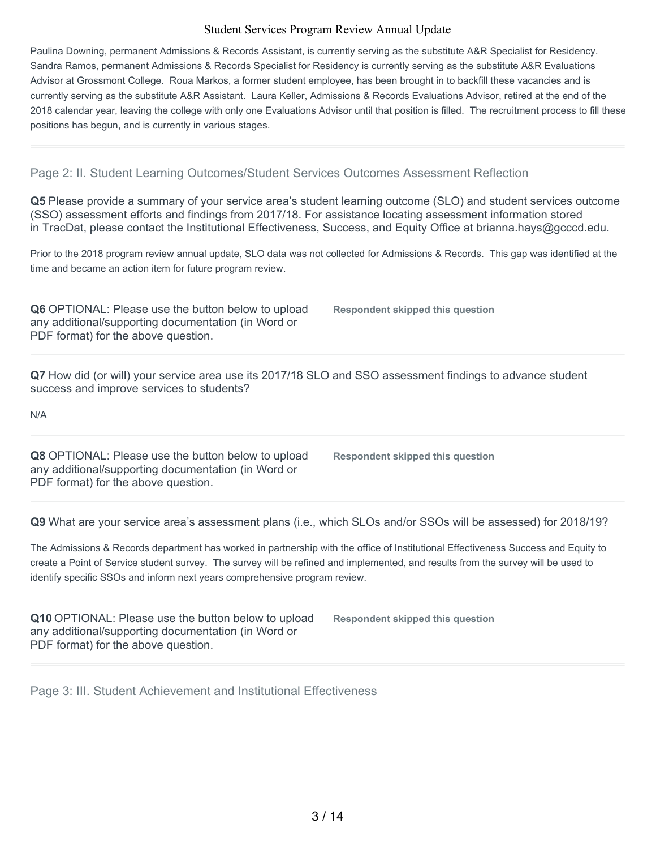Paulina Downing, permanent Admissions & Records Assistant, is currently serving as the substitute A&R Specialist for Residency. Sandra Ramos, permanent Admissions & Records Specialist for Residency is currently serving as the substitute A&R Evaluations Advisor at Grossmont College. Roua Markos, a former student employee, has been brought in to backfill these vacancies and is currently serving as the substitute A&R Assistant. Laura Keller, Admissions & Records Evaluations Advisor, retired at the end of the 2018 calendar year, leaving the college with only one Evaluations Advisor until that position is filled. The recruitment process to fill these positions has begun, and is currently in various stages.

#### Page 2: II. Student Learning Outcomes/Student Services Outcomes Assessment Reflection

**Q5** Please provide a summary of your service area's student learning outcome (SLO) and student services outcome (SSO) assessment efforts and findings from 2017/18. For assistance locating assessment information stored in TracDat, please contact the Institutional Effectiveness, Success, and Equity Office at brianna.hays@gcccd.edu.

Prior to the 2018 program review annual update, SLO data was not collected for Admissions & Records. This gap was identified at the time and became an action item for future program review.

**Q6** OPTIONAL: Please use the button below to upload any additional/supporting documentation (in Word or PDF format) for the above question.

**Respondent skipped this question**

**Q7** How did (or will) your service area use its 2017/18 SLO and SSO assessment findings to advance student success and improve services to students?

N/A

**Q8** OPTIONAL: Please use the button below to upload any additional/supporting documentation (in Word or PDF format) for the above question.

**Respondent skipped this question**

**Q9** What are your service area's assessment plans (i.e., which SLOs and/or SSOs will be assessed) for 2018/19?

The Admissions & Records department has worked in partnership with the office of Institutional Effectiveness Success and Equity to create a Point of Service student survey. The survey will be refined and implemented, and results from the survey will be used to identify specific SSOs and inform next years comprehensive program review.

**Q10** OPTIONAL: Please use the button below to upload any additional/supporting documentation (in Word or PDF format) for the above question.

**Respondent skipped this question**

Page 3: III. Student Achievement and Institutional Effectiveness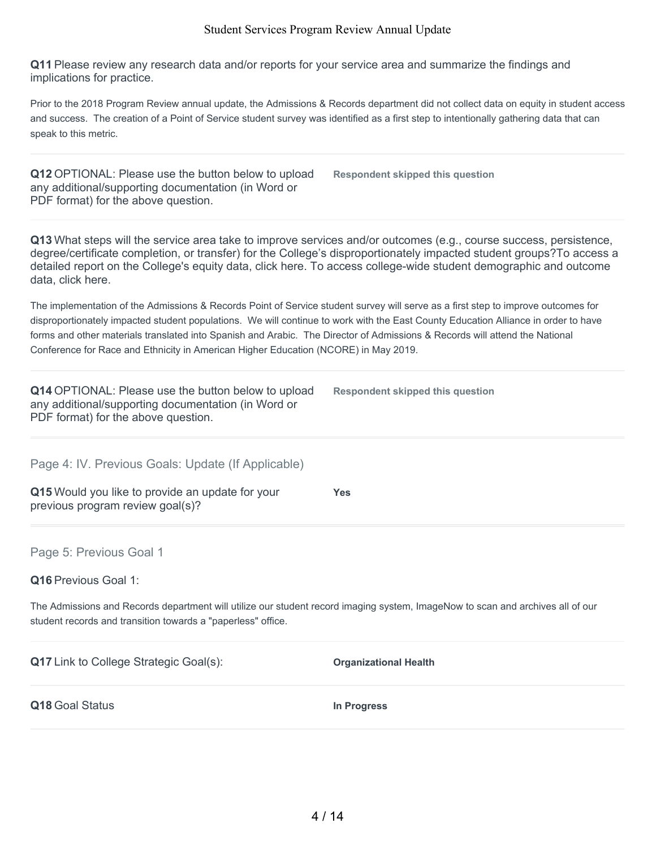**Q11** Please review any research data and/or reports for your service area and summarize the findings and implications for practice.

Prior to the 2018 Program Review annual update, the Admissions & Records department did not collect data on equity in student access and success. The creation of a Point of Service student survey was identified as a first step to intentionally gathering data that can speak to this metric.

**Q12** OPTIONAL: Please use the button below to upload any additional/supporting documentation (in Word or PDF format) for the above question.

**Respondent skipped this question**

**Q13** What steps will the service area take to improve services and/or outcomes (e.g., course success, persistence, degree/certificate completion, or transfer) for the College's disproportionately impacted student groups?To access a detailed report on the College's equity data, click here. To access college-wide student demographic and outcome data, click here.

The implementation of the Admissions & Records Point of Service student survey will serve as a first step to improve outcomes for disproportionately impacted student populations. We will continue to work with the East County Education Alliance in order to have forms and other materials translated into Spanish and Arabic. The Director of Admissions & Records will attend the National Conference for Race and Ethnicity in American Higher Education (NCORE) in May 2019.

| Q14 OPTIONAL: Please use the button below to upload<br>any additional/supporting documentation (in Word or<br>PDF format) for the above question.                                              | <b>Respondent skipped this question</b> |
|------------------------------------------------------------------------------------------------------------------------------------------------------------------------------------------------|-----------------------------------------|
| Page 4: IV. Previous Goals: Update (If Applicable)                                                                                                                                             |                                         |
| Q15 Would you like to provide an update for your<br>previous program review goal(s)?                                                                                                           | Yes                                     |
| Page 5: Previous Goal 1                                                                                                                                                                        |                                         |
| <b>Q16</b> Previous Goal 1:                                                                                                                                                                    |                                         |
| The Admissions and Records department will utilize our student record imaging system, ImageNow to scan and archives all of our<br>student records and transition towards a "paperless" office. |                                         |
| <b>Q17</b> Link to College Strategic Goal(s):                                                                                                                                                  | <b>Organizational Health</b>            |
| Q18 Goal Status                                                                                                                                                                                | In Progress                             |
|                                                                                                                                                                                                |                                         |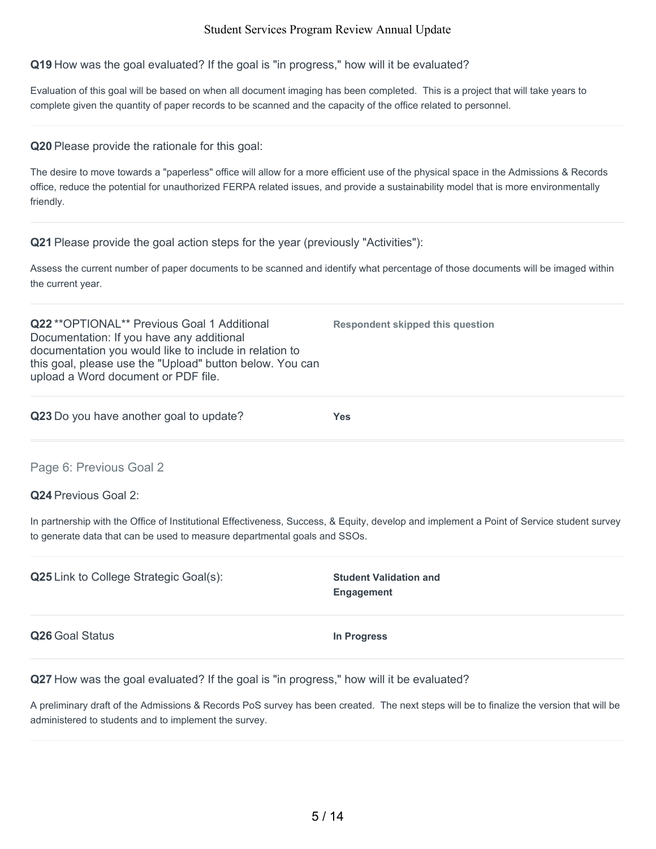**Q19** How was the goal evaluated? If the goal is "in progress," how will it be evaluated?

Evaluation of this goal will be based on when all document imaging has been completed. This is a project that will take years to complete given the quantity of paper records to be scanned and the capacity of the office related to personnel.

**Q20** Please provide the rationale for this goal:

The desire to move towards a "paperless" office will allow for a more efficient use of the physical space in the Admissions & Records office, reduce the potential for unauthorized FERPA related issues, and provide a sustainability model that is more environmentally friendly.

**Q21** Please provide the goal action steps for the year (previously "Activities"):

Assess the current number of paper documents to be scanned and identify what percentage of those documents will be imaged within the current year.

**Q22** \*\*OPTIONAL\*\* Previous Goal 1 Additional Documentation: If you have any additional documentation you would like to include in relation to this goal, please use the "Upload" button below. You can upload a Word document or PDF file.

**Q23** Do you have another goal to update? **Yes**

**Respondent skipped this question**

Page 6: Previous Goal 2

**Q24** Previous Goal 2:

In partnership with the Office of Institutional Effectiveness, Success, & Equity, develop and implement a Point of Service student survey to generate data that can be used to measure departmental goals and SSOs.

**Q25** Link to College Strategic Goal(s): **Student Validation and Engagement Q26** Goal Status **In Progress**

**Q27** How was the goal evaluated? If the goal is "in progress," how will it be evaluated?

A preliminary draft of the Admissions & Records PoS survey has been created. The next steps will be to finalize the version that will be administered to students and to implement the survey.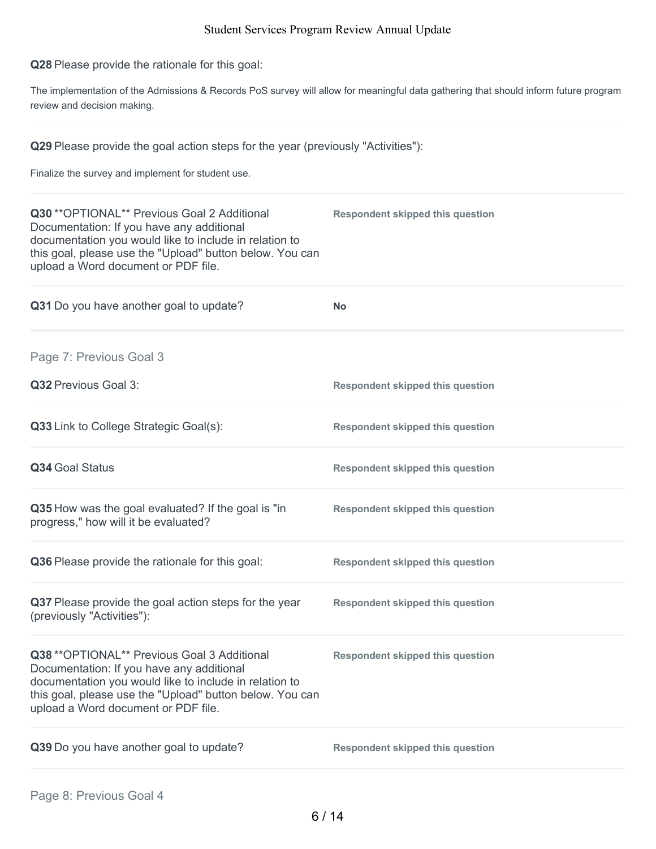**Q28** Please provide the rationale for this goal:

The implementation of the Admissions & Records PoS survey will allow for meaningful data gathering that should inform future program review and decision making.

**Q29** Please provide the goal action steps for the year (previously "Activities"):

Finalize the survey and implement for student use.

| Q30 ** OPTIONAL** Previous Goal 2 Additional<br>Documentation: If you have any additional<br>documentation you would like to include in relation to<br>this goal, please use the "Upload" button below. You can<br>upload a Word document or PDF file. | <b>Respondent skipped this question</b> |
|--------------------------------------------------------------------------------------------------------------------------------------------------------------------------------------------------------------------------------------------------------|-----------------------------------------|
| Q31 Do you have another goal to update?                                                                                                                                                                                                                | <b>No</b>                               |
| Page 7: Previous Goal 3                                                                                                                                                                                                                                |                                         |
| Q32 Previous Goal 3:                                                                                                                                                                                                                                   | <b>Respondent skipped this question</b> |
| Q33 Link to College Strategic Goal(s):                                                                                                                                                                                                                 | <b>Respondent skipped this question</b> |
| Q34 Goal Status                                                                                                                                                                                                                                        | <b>Respondent skipped this question</b> |
| Q35 How was the goal evaluated? If the goal is "in<br>progress," how will it be evaluated?                                                                                                                                                             | <b>Respondent skipped this question</b> |
| Q36 Please provide the rationale for this goal:                                                                                                                                                                                                        | <b>Respondent skipped this question</b> |
| Q37 Please provide the goal action steps for the year<br>(previously "Activities"):                                                                                                                                                                    | <b>Respondent skipped this question</b> |
| Q38 ** OPTIONAL** Previous Goal 3 Additional<br>Documentation: If you have any additional<br>documentation you would like to include in relation to<br>this goal, please use the "Upload" button below. You can<br>upload a Word document or PDF file. | <b>Respondent skipped this question</b> |
| Q39 Do you have another goal to update?                                                                                                                                                                                                                | <b>Respondent skipped this question</b> |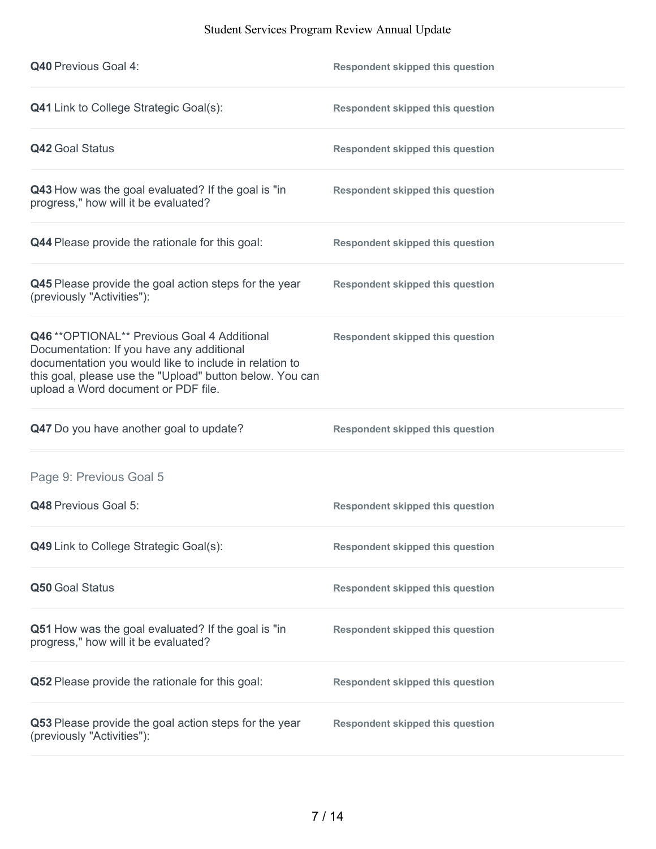| <b>Q40 Previous Goal 4:</b>                                                                                                                                                                                                                            | <b>Respondent skipped this question</b> |
|--------------------------------------------------------------------------------------------------------------------------------------------------------------------------------------------------------------------------------------------------------|-----------------------------------------|
| <b>Q41</b> Link to College Strategic Goal(s):                                                                                                                                                                                                          | <b>Respondent skipped this question</b> |
| <b>Q42 Goal Status</b>                                                                                                                                                                                                                                 | <b>Respondent skipped this question</b> |
| Q43 How was the goal evaluated? If the goal is "in<br>progress," how will it be evaluated?                                                                                                                                                             | <b>Respondent skipped this question</b> |
| Q44 Please provide the rationale for this goal:                                                                                                                                                                                                        | <b>Respondent skipped this question</b> |
| Q45 Please provide the goal action steps for the year<br>(previously "Activities"):                                                                                                                                                                    | <b>Respondent skipped this question</b> |
| Q46 ** OPTIONAL** Previous Goal 4 Additional<br>Documentation: If you have any additional<br>documentation you would like to include in relation to<br>this goal, please use the "Upload" button below. You can<br>upload a Word document or PDF file. | <b>Respondent skipped this question</b> |
| Q47 Do you have another goal to update?                                                                                                                                                                                                                | <b>Respondent skipped this question</b> |
| Page 9: Previous Goal 5                                                                                                                                                                                                                                |                                         |
| Q48 Previous Goal 5:                                                                                                                                                                                                                                   | <b>Respondent skipped this question</b> |
| Q49 Link to College Strategic Goal(s):                                                                                                                                                                                                                 | <b>Respondent skipped this question</b> |
| Q50 Goal Status                                                                                                                                                                                                                                        | <b>Respondent skipped this question</b> |
| Q51 How was the goal evaluated? If the goal is "in<br>progress," how will it be evaluated?                                                                                                                                                             | <b>Respondent skipped this question</b> |
| Q52 Please provide the rationale for this goal:                                                                                                                                                                                                        | <b>Respondent skipped this question</b> |
| Q53 Please provide the goal action steps for the year<br>(previously "Activities"):                                                                                                                                                                    | <b>Respondent skipped this question</b> |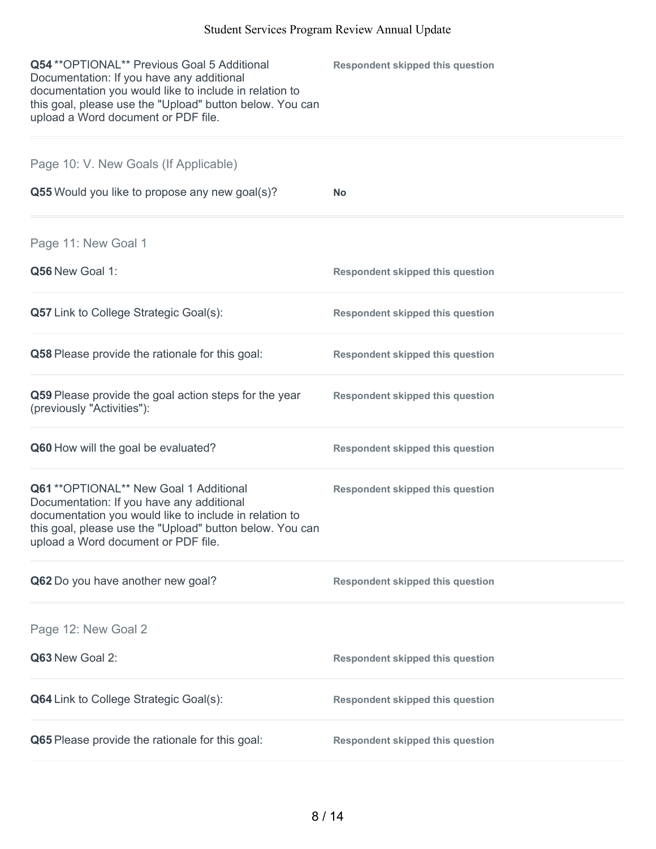| Q54 ** OPTIONAL** Previous Goal 5 Additional<br>Documentation: If you have any additional<br>documentation you would like to include in relation to<br>this goal, please use the "Upload" button below. You can<br>upload a Word document or PDF file. | <b>Respondent skipped this question</b> |
|--------------------------------------------------------------------------------------------------------------------------------------------------------------------------------------------------------------------------------------------------------|-----------------------------------------|
| Page 10: V. New Goals (If Applicable)                                                                                                                                                                                                                  |                                         |
| Q55 Would you like to propose any new goal(s)?                                                                                                                                                                                                         | <b>No</b>                               |
| Page 11: New Goal 1                                                                                                                                                                                                                                    |                                         |
| Q56 New Goal 1:                                                                                                                                                                                                                                        | <b>Respondent skipped this question</b> |
| <b>Q57</b> Link to College Strategic Goal(s):                                                                                                                                                                                                          | <b>Respondent skipped this question</b> |
| Q58 Please provide the rationale for this goal:                                                                                                                                                                                                        | <b>Respondent skipped this question</b> |
| Q59 Please provide the goal action steps for the year<br>(previously "Activities"):                                                                                                                                                                    | <b>Respondent skipped this question</b> |
| Q60 How will the goal be evaluated?                                                                                                                                                                                                                    | <b>Respondent skipped this question</b> |
| Q61 ** OPTIONAL** New Goal 1 Additional<br>Documentation: If you have any additional<br>documentation you would like to include in relation to<br>this goal, please use the "Upload" button below. You can<br>upload a Word document or PDF file.      | <b>Respondent skipped this question</b> |
| Q62 Do you have another new goal?                                                                                                                                                                                                                      | <b>Respondent skipped this question</b> |
| Page 12: New Goal 2                                                                                                                                                                                                                                    |                                         |
| Q63 New Goal 2:                                                                                                                                                                                                                                        | <b>Respondent skipped this question</b> |
| Q64 Link to College Strategic Goal(s):                                                                                                                                                                                                                 | <b>Respondent skipped this question</b> |
| Q65 Please provide the rationale for this goal:                                                                                                                                                                                                        | <b>Respondent skipped this question</b> |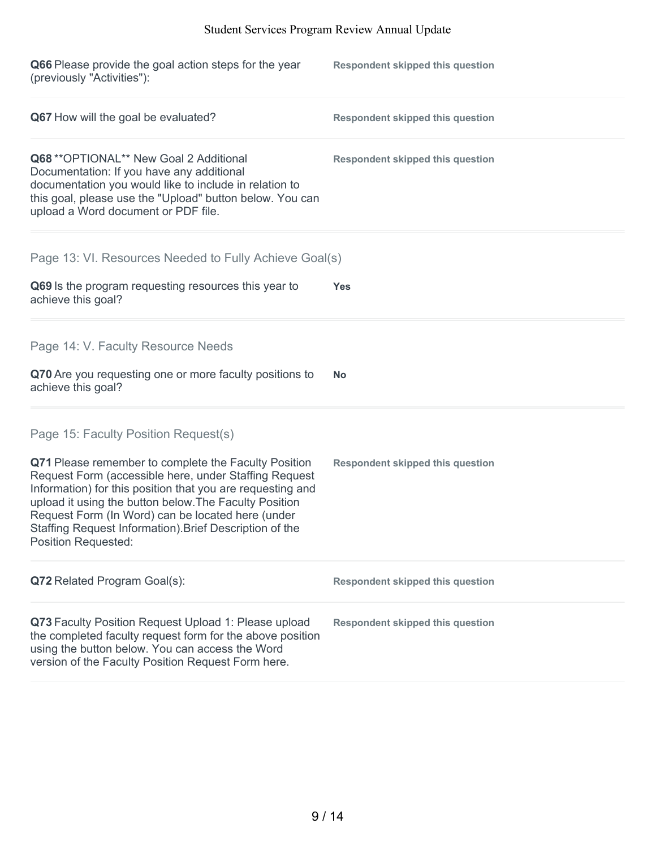| Q66 Please provide the goal action steps for the year<br>(previously "Activities"):                                                                                                                                                                                                                                                                                                 | <b>Respondent skipped this question</b> |
|-------------------------------------------------------------------------------------------------------------------------------------------------------------------------------------------------------------------------------------------------------------------------------------------------------------------------------------------------------------------------------------|-----------------------------------------|
| Q67 How will the goal be evaluated?                                                                                                                                                                                                                                                                                                                                                 | <b>Respondent skipped this question</b> |
| Q68 ** OPTIONAL** New Goal 2 Additional<br>Documentation: If you have any additional<br>documentation you would like to include in relation to<br>this goal, please use the "Upload" button below. You can<br>upload a Word document or PDF file.                                                                                                                                   | <b>Respondent skipped this question</b> |
| Page 13: VI. Resources Needed to Fully Achieve Goal(s)                                                                                                                                                                                                                                                                                                                              |                                         |
| Q69 Is the program requesting resources this year to<br>achieve this goal?                                                                                                                                                                                                                                                                                                          | Yes                                     |
| Page 14: V. Faculty Resource Needs                                                                                                                                                                                                                                                                                                                                                  |                                         |
| Q70 Are you requesting one or more faculty positions to<br>achieve this goal?                                                                                                                                                                                                                                                                                                       | <b>No</b>                               |
| Page 15: Faculty Position Request(s)                                                                                                                                                                                                                                                                                                                                                |                                         |
| Q71 Please remember to complete the Faculty Position<br>Request Form (accessible here, under Staffing Request<br>Information) for this position that you are requesting and<br>upload it using the button below. The Faculty Position<br>Request Form (In Word) can be located here (under<br>Staffing Request Information). Brief Description of the<br><b>Position Requested:</b> | <b>Respondent skipped this question</b> |
| Q72 Related Program Goal(s):                                                                                                                                                                                                                                                                                                                                                        | <b>Respondent skipped this question</b> |
| Q73 Faculty Position Request Upload 1: Please upload<br>the completed faculty request form for the above position<br>using the button below. You can access the Word<br>version of the Faculty Position Request Form here.                                                                                                                                                          | <b>Respondent skipped this question</b> |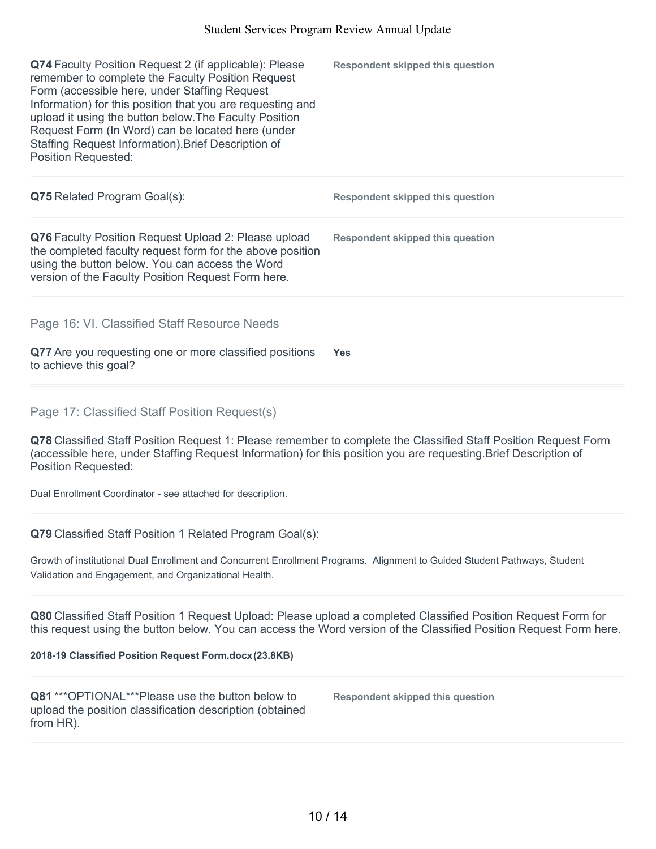| Q74 Faculty Position Request 2 (if applicable): Please<br>remember to complete the Faculty Position Request<br>Form (accessible here, under Staffing Request<br>Information) for this position that you are requesting and<br>upload it using the button below. The Faculty Position<br>Request Form (In Word) can be located here (under<br>Staffing Request Information). Brief Description of<br><b>Position Requested:</b> | <b>Respondent skipped this question</b> |
|--------------------------------------------------------------------------------------------------------------------------------------------------------------------------------------------------------------------------------------------------------------------------------------------------------------------------------------------------------------------------------------------------------------------------------|-----------------------------------------|
| <b>Q75</b> Related Program Goal(s):                                                                                                                                                                                                                                                                                                                                                                                            | <b>Respondent skipped this question</b> |
| Q76 Faculty Position Request Upload 2: Please upload<br>the completed faculty request form for the above position<br>using the button below. You can access the Word<br>version of the Faculty Position Request Form here.                                                                                                                                                                                                     | <b>Respondent skipped this question</b> |
| Page 16: VI. Classified Staff Resource Needs<br>Q77 Are you requesting one or more classified positions<br>to achieve this goal?                                                                                                                                                                                                                                                                                               | <b>Yes</b>                              |

Page 17: Classified Staff Position Request(s)

**Q78** Classified Staff Position Request 1: Please remember to complete the Classified Staff Position Request Form (accessible here, under Staffing Request Information) for this position you are requesting.Brief Description of Position Requested:

Dual Enrollment Coordinator - see attached for description.

**Q79** Classified Staff Position 1 Related Program Goal(s):

Growth of institutional Dual Enrollment and Concurrent Enrollment Programs. Alignment to Guided Student Pathways, Student Validation and Engagement, and Organizational Health.

**Q80** Classified Staff Position 1 Request Upload: Please upload a completed Classified Position Request Form for this request using the button below. You can access the Word version of the Classified Position Request Form here.

#### **2018-19 Classified Position Request Form.docx(23.8KB)**

**Q81** \*\*\*OPTIONAL\*\*\*Please use the button below to upload the position classification description (obtained from HR).

**Respondent skipped this question**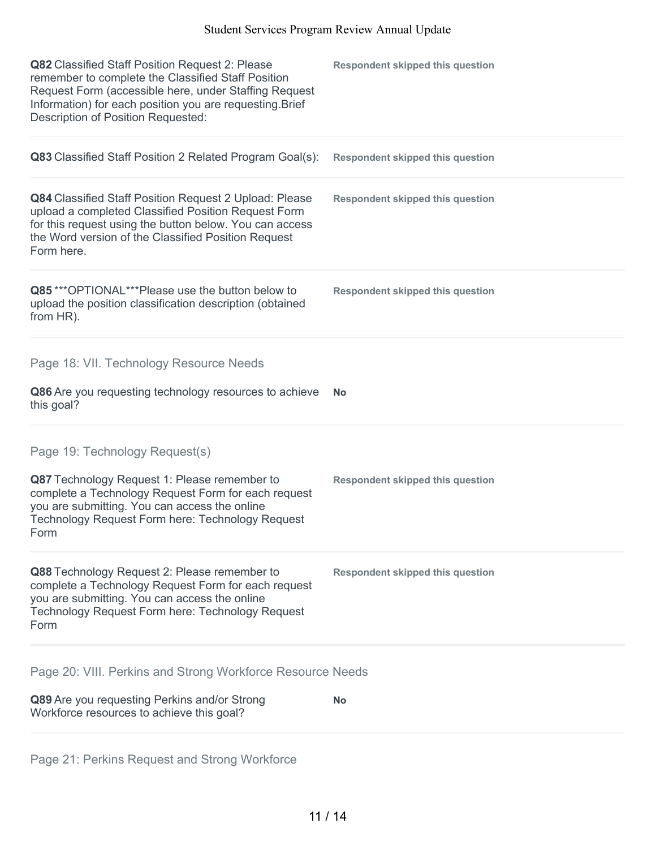| Q82 Classified Staff Position Request 2: Please<br>remember to complete the Classified Staff Position<br>Request Form (accessible here, under Staffing Request<br>Information) for each position you are requesting. Brief<br>Description of Position Requested: | <b>Respondent skipped this question</b> |
|------------------------------------------------------------------------------------------------------------------------------------------------------------------------------------------------------------------------------------------------------------------|-----------------------------------------|
| Q83 Classified Staff Position 2 Related Program Goal(s):                                                                                                                                                                                                         | <b>Respondent skipped this question</b> |
| Q84 Classified Staff Position Request 2 Upload: Please<br>upload a completed Classified Position Request Form<br>for this request using the button below. You can access<br>the Word version of the Classified Position Request<br>Form here.                    | <b>Respondent skipped this question</b> |
| Q85***OPTIONAL***Please use the button below to<br>upload the position classification description (obtained<br>from HR).                                                                                                                                         | <b>Respondent skipped this question</b> |
| Page 18: VII. Technology Resource Needs                                                                                                                                                                                                                          |                                         |
| Q86 Are you requesting technology resources to achieve<br>this goal?                                                                                                                                                                                             | No                                      |
| Page 19: Technology Request(s)                                                                                                                                                                                                                                   |                                         |
| Q87 Technology Request 1: Please remember to<br>complete a Technology Request Form for each request<br>you are submitting. You can access the online<br>Technology Request Form here: Technology Request<br>Form                                                 | <b>Respondent skipped this question</b> |
| Q88 Technology Request 2: Please remember to<br>complete a Technology Request Form for each request<br>you are submitting. You can access the online<br>Technology Request Form here: Technology Request<br>Form                                                 | <b>Respondent skipped this question</b> |
| Page 20: VIII. Perkins and Strong Workforce Resource Needs                                                                                                                                                                                                       |                                         |
| Q89 Are you requesting Perkins and/or Strong<br>Workforce resources to achieve this goal?                                                                                                                                                                        | <b>No</b>                               |

Page 21: Perkins Request and Strong Workforce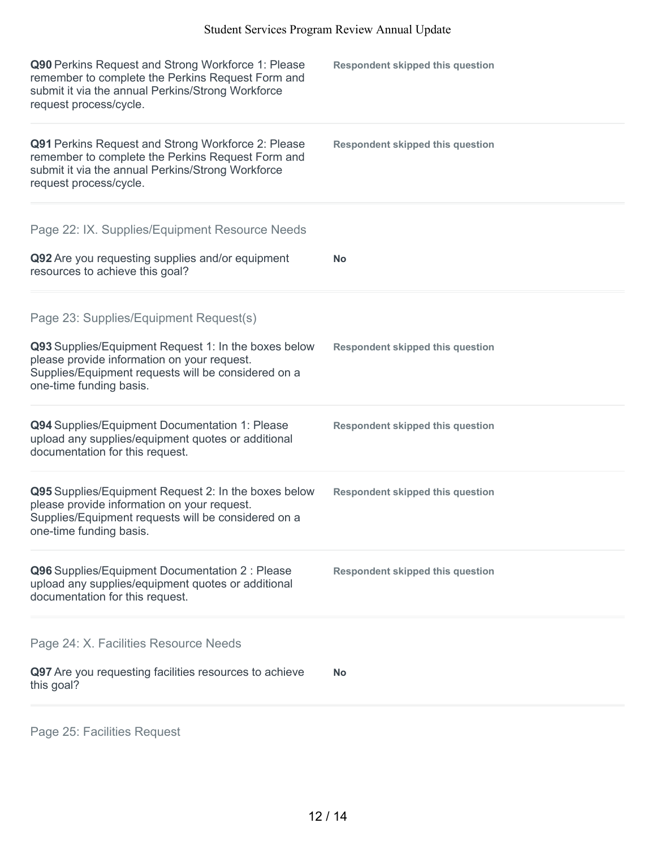| Q90 Perkins Request and Strong Workforce 1: Please<br>remember to complete the Perkins Request Form and<br>submit it via the annual Perkins/Strong Workforce<br>request process/cycle. | <b>Respondent skipped this question</b> |
|----------------------------------------------------------------------------------------------------------------------------------------------------------------------------------------|-----------------------------------------|
| Q91 Perkins Request and Strong Workforce 2: Please<br>remember to complete the Perkins Request Form and<br>submit it via the annual Perkins/Strong Workforce<br>request process/cycle. | <b>Respondent skipped this question</b> |
| Page 22: IX. Supplies/Equipment Resource Needs                                                                                                                                         |                                         |
| Q92 Are you requesting supplies and/or equipment<br>resources to achieve this goal?                                                                                                    | <b>No</b>                               |
| Page 23: Supplies/Equipment Request(s)                                                                                                                                                 |                                         |
| Q93 Supplies/Equipment Request 1: In the boxes below<br>please provide information on your request.<br>Supplies/Equipment requests will be considered on a<br>one-time funding basis.  | <b>Respondent skipped this question</b> |
| Q94 Supplies/Equipment Documentation 1: Please<br>upload any supplies/equipment quotes or additional<br>documentation for this request.                                                | <b>Respondent skipped this question</b> |
| Q95 Supplies/Equipment Request 2: In the boxes below<br>please provide information on your request.<br>Supplies/Equipment requests will be considered on a<br>one-time funding basis.  | <b>Respondent skipped this question</b> |
| Q96 Supplies/Equipment Documentation 2 : Please<br>upload any supplies/equipment quotes or additional<br>documentation for this request.                                               | <b>Respondent skipped this question</b> |
| Page 24: X. Facilities Resource Needs                                                                                                                                                  |                                         |
| Q97 Are you requesting facilities resources to achieve<br>this goal?                                                                                                                   | No                                      |

Page 25: Facilities Request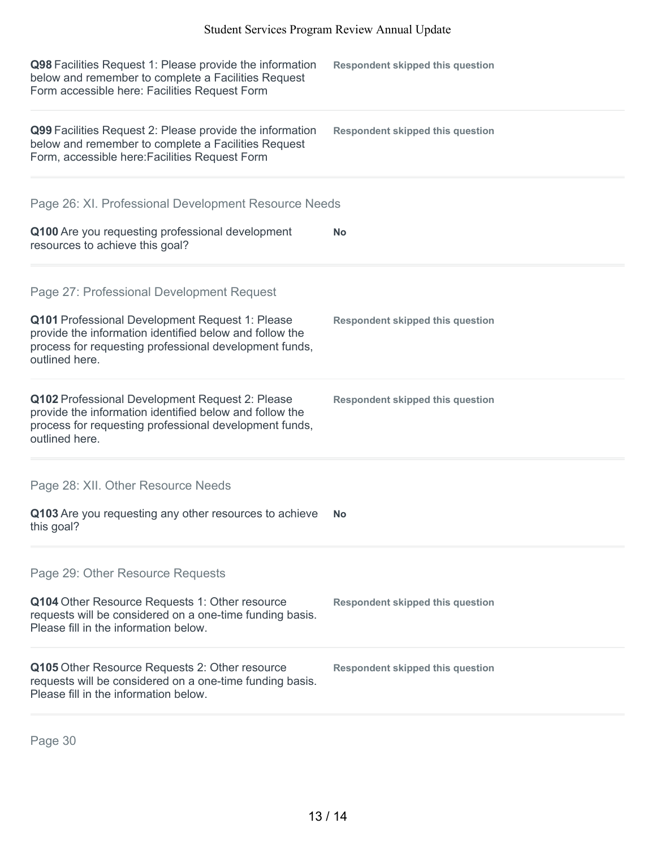| Q98 Facilities Request 1: Please provide the information<br>below and remember to complete a Facilities Request<br>Form accessible here: Facilities Request Form                       | <b>Respondent skipped this question</b> |
|----------------------------------------------------------------------------------------------------------------------------------------------------------------------------------------|-----------------------------------------|
| Q99 Facilities Request 2: Please provide the information<br>below and remember to complete a Facilities Request<br>Form, accessible here: Facilities Request Form                      | <b>Respondent skipped this question</b> |
| Page 26: XI. Professional Development Resource Needs                                                                                                                                   |                                         |
| Q100 Are you requesting professional development<br>resources to achieve this goal?                                                                                                    | No                                      |
| Page 27: Professional Development Request                                                                                                                                              |                                         |
| Q101 Professional Development Request 1: Please<br>provide the information identified below and follow the<br>process for requesting professional development funds,<br>outlined here. | <b>Respondent skipped this question</b> |
| Q102 Professional Development Request 2: Please<br>provide the information identified below and follow the<br>process for requesting professional development funds,<br>outlined here. | <b>Respondent skipped this question</b> |
| Page 28: XII. Other Resource Needs                                                                                                                                                     |                                         |
| Q103 Are you requesting any other resources to achieve<br>this goal?                                                                                                                   | No                                      |
| Page 29: Other Resource Requests                                                                                                                                                       |                                         |
| Q104 Other Resource Requests 1: Other resource<br>requests will be considered on a one-time funding basis.<br>Please fill in the information below.                                    | <b>Respondent skipped this question</b> |
| Q105 Other Resource Requests 2: Other resource<br>requests will be considered on a one-time funding basis.<br>Please fill in the information below.                                    | <b>Respondent skipped this question</b> |